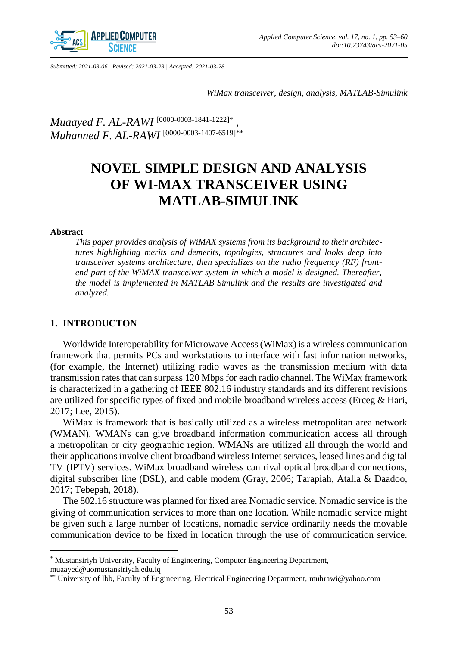

*Submitted: 2021-03-06 | Revised: 2021-03-23 | Accepted: 2021-03-28*

*WiMax transceiver, design, analysis, MATLAB-Simulink*

*Muaayed F. AL-RAWI* [0000-0003-1841-1222]\* *, Muhanned F. AL-RAWI* [0000-0003-1407-6519]\*\*

# **NOVEL SIMPLE DESIGN AND ANALYSIS OF WI-MAX TRANSCEIVER USING MATLAB-SIMULINK**

#### **Abstract**

 $\overline{a}$ 

*This paper provides analysis of WiMAX systems from its background to their architectures highlighting merits and demerits, topologies, structures and looks deep into transceiver systems architecture, then specializes on the radio frequency (RF) frontend part of the WiMAX transceiver system in which a model is designed. Thereafter, the model is implemented in MATLAB Simulink and the results are investigated and analyzed.*

#### **1. INTRODUCTON**

Worldwide Interoperability for Microwave Access (WiMax) is a wireless communication framework that permits PCs and workstations to interface with fast information networks, (for example, the Internet) utilizing radio waves as the transmission medium with data transmission rates that can surpass 120 Mbps for each radio channel. The WiMax framework is characterized in a gathering of IEEE 802.16 industry standards and its different revisions are utilized for specific types of fixed and mobile broadband wireless access (Erceg  $\&$  Hari, 2017; Lee, 2015).

WiMax is framework that is basically utilized as a wireless metropolitan area network (WMAN). WMANs can give broadband information communication access all through a metropolitan or city geographic region. WMANs are utilized all through the world and their applications involve client broadband wireless Internet services, leased lines and digital TV (IPTV) services. WiMax broadband wireless can rival optical broadband connections, digital subscriber line (DSL), and cable modem (Gray, 2006; Tarapiah, Atalla & Daadoo, 2017; Tebepah, 2018).

The 802.16 structure was planned for fixed area Nomadic service. Nomadic service is the giving of communication services to more than one location. While nomadic service might be given such a large number of locations, nomadic service ordinarily needs the movable communication device to be fixed in location through the use of communication service.

<sup>\*</sup> Mustansiriyh University, Faculty of Engineering, Computer Engineering Department, muaayed@uomustansiriyah.edu.iq

<sup>\*\*</sup> University of Ibb, Faculty of Engineering, Electrical Engineering Department, muhrawi@yahoo.com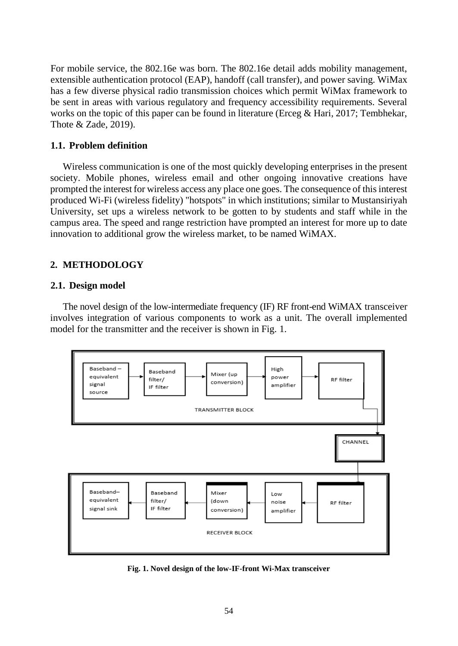For mobile service, the 802.16e was born. The 802.16e detail adds mobility management, extensible authentication protocol (EAP), handoff (call transfer), and power saving. WiMax has a few diverse physical radio transmission choices which permit WiMax framework to be sent in areas with various regulatory and frequency accessibility requirements. Several works on the topic of this paper can be found in literature (Erceg & Hari, 2017; Tembhekar, Thote & Zade, 2019).

# **1.1. Problem definition**

Wireless communication is one of the most quickly developing enterprises in the present society. Mobile phones, wireless email and other ongoing innovative creations have prompted the interest for wireless access any place one goes. The consequence of this interest produced Wi-Fi (wireless fidelity) "hotspots" in which institutions; similar to Mustansiriyah University, set ups a wireless network to be gotten to by students and staff while in the campus area. The speed and range restriction have prompted an interest for more up to date innovation to additional grow the wireless market, to be named WiMAX.

# **2. METHODOLOGY**

# **2.1. Design model**

The novel design of the low-intermediate frequency (IF) RF front-end WiMAX transceiver involves integration of various components to work as a unit. The overall implemented model for the transmitter and the receiver is shown in Fig. 1.



**Fig. 1. Novel design of the low-IF-front Wi-Max transceiver**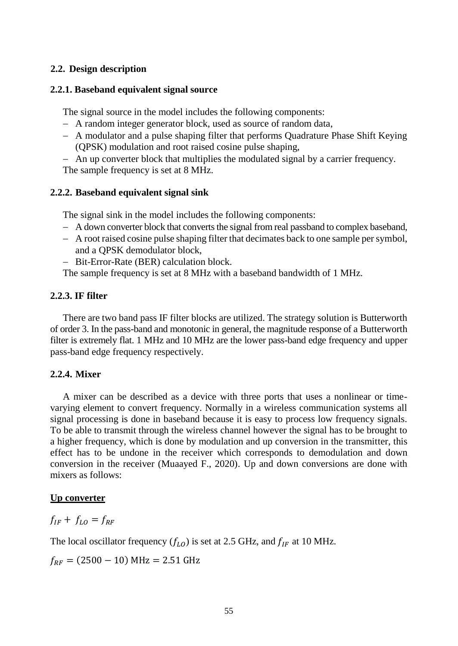# **2.2. Design description**

### **2.2.1. Baseband equivalent signal source**

The signal source in the model includes the following components:

- A random integer generator block, used as source of random data,
- A modulator and a pulse shaping filter that performs Quadrature Phase Shift Keying (QPSK) modulation and root raised cosine pulse shaping,
- An up converter block that multiplies the modulated signal by a carrier frequency.

The sample frequency is set at 8 MHz.

## **2.2.2. Baseband equivalent signal sink**

The signal sink in the model includes the following components:

- A down converter block that converts the signal from real passband to complex baseband,
- A root raised cosine pulse shaping filter that decimates back to one sample per symbol, and a QPSK demodulator block,
- Bit-Error-Rate (BER) calculation block.

The sample frequency is set at 8 MHz with a baseband bandwidth of 1 MHz.

# **2.2.3. IF filter**

There are two band pass IF filter blocks are utilized. The strategy solution is Butterworth of order 3. In the pass-band and monotonic in general, the magnitude response of a Butterworth filter is extremely flat. 1 MHz and 10 MHz are the lower pass-band edge frequency and upper pass-band edge frequency respectively.

# **2.2.4. Mixer**

A mixer can be described as a device with three ports that uses a nonlinear or timevarying element to convert frequency. Normally in a wireless communication systems all signal processing is done in baseband because it is easy to process low frequency signals. To be able to transmit through the wireless channel however the signal has to be brought to a higher frequency, which is done by modulation and up conversion in the transmitter, this effect has to be undone in the receiver which corresponds to demodulation and down conversion in the receiver (Muaayed F., 2020). Up and down conversions are done with mixers as follows:

#### **Up converter**

 $f_{IF} + f_{LO} = f_{RF}$ 

The local oscillator frequency  $(f_{L0})$  is set at 2.5 GHz, and  $f_{IF}$  at 10 MHz.

 $f_{RF} = (2500 - 10) \text{ MHz} = 2.51 \text{ GHz}$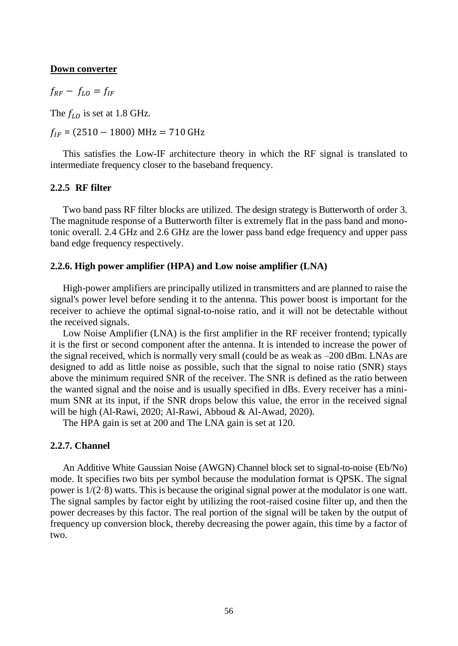#### **Down converter**

 $f_{RF} - f_{LO} = f_{IF}$ 

The  $f_{LO}$  is set at 1.8 GHz.

 $f_{IF}$  = (2510 – 1800) MHz = 710 GHz

This satisfies the Low-IF architecture theory in which the RF signal is translated to intermediate frequency closer to the baseband frequency.

### **2.2.5 RF filter**

Two band pass RF filter blocks are utilized. The design strategy is Butterworth of order 3. The magnitude response of a Butterworth filter is extremely flat in the pass band and monotonic overall. 2.4 GHz and 2.6 GHz are the lower pass band edge frequency and upper pass band edge frequency respectively.

### **2.2.6. High power amplifier (HPA) and Low noise amplifier (LNA)**

High-power amplifiers are principally utilized in transmitters and are planned to raise the signal's power level before sending it to the antenna. This power boost is important for the receiver to achieve the optimal signal-to-noise ratio, and it will not be detectable without the received signals.

Low Noise Amplifier (LNA) is the first amplifier in the RF receiver frontend; typically it is the first or second component after the antenna. It is intended to increase the power of the signal received, which is normally very small (could be as weak as –200 dBm. LNAs are designed to add as little noise as possible, such that the signal to noise ratio (SNR) stays above the minimum required SNR of the receiver. The SNR is defined as the ratio between the wanted signal and the noise and is usually specified in dBs. Every receiver has a minimum SNR at its input, if the SNR drops below this value, the error in the received signal will be high (Al-Rawi, 2020; Al-Rawi, Abboud & Al-Awad, 2020).

The HPA gain is set at 200 and The LNA gain is set at 120.

# **2.2.7. Channel**

An Additive White Gaussian Noise (AWGN) Channel block set to signal-to-noise (Eb/No) mode. It specifies two bits per symbol because the modulation format is QPSK. The signal power is  $1/(2.8)$  watts. This is because the original signal power at the modulator is one watt. The signal samples by factor eight by utilizing the root-raised cosine filter up, and then the power decreases by this factor. The real portion of the signal will be taken by the output of frequency up conversion block, thereby decreasing the power again, this time by a factor of two.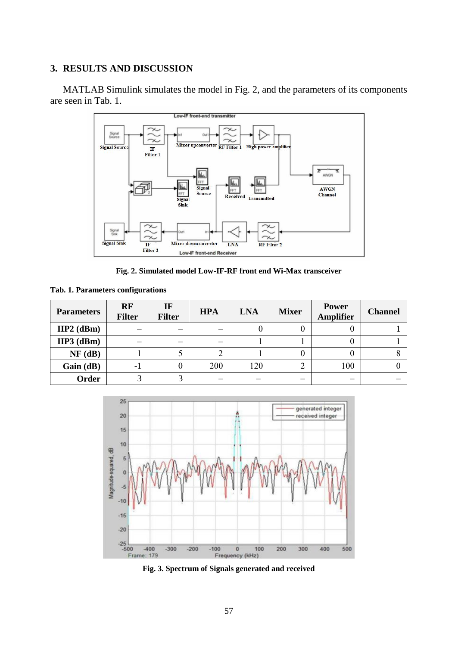# **3. RESULTS AND DISCUSSION**

MATLAB Simulink simulates the model in Fig. 2, and the parameters of its components are seen in Tab. 1.



**Fig. 2. Simulated model Low-IF-RF front end Wi-Max transceiver**

| <b>Parameters</b> | RF<br><b>Filter</b> | IF<br><b>Filter</b> | <b>HPA</b> | <b>LNA</b> | <b>Mixer</b> | <b>Power</b><br><b>Amplifier</b> | <b>Channel</b> |
|-------------------|---------------------|---------------------|------------|------------|--------------|----------------------------------|----------------|
| $IIP2$ (dBm)      |                     |                     |            |            |              |                                  |                |
| $HP3$ (dBm)       |                     |                     |            |            |              |                                  |                |
| NF(dB)            |                     |                     |            |            |              |                                  |                |
| Gain (dB)         | -1                  |                     | 200        | 120        |              | 100                              |                |
| Order             | 2                   |                     |            |            |              |                                  |                |

|  |  | Tab. 1. Parameters configurations |
|--|--|-----------------------------------|
|--|--|-----------------------------------|



**Fig. 3. Spectrum of Signals generated and received**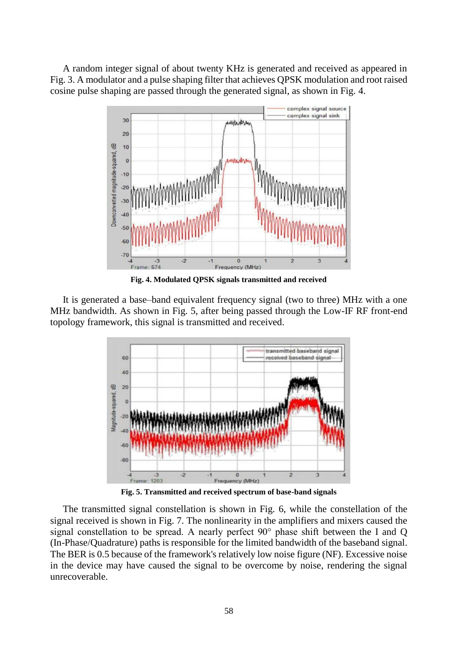A random integer signal of about twenty KHz is generated and received as appeared in Fig. 3. A modulator and a pulse shaping filter that achieves QPSK modulation and root raised cosine pulse shaping are passed through the generated signal, as shown in Fig. 4.



**Fig. 4. Modulated QPSK signals transmitted and received**

It is generated a base–band equivalent frequency signal (two to three) MHz with a one MHz bandwidth. As shown in Fig. 5, after being passed through the Low-IF RF front-end topology framework, this signal is transmitted and received.



**Fig. 5. Transmitted and received spectrum of base-band signals**

The transmitted signal constellation is shown in Fig. 6, while the constellation of the signal received is shown in Fig. 7. The nonlinearity in the amplifiers and mixers caused the signal constellation to be spread. A nearly perfect 90° phase shift between the I and Q (In-Phase/Quadrature) paths is responsible for the limited bandwidth of the baseband signal. The BER is 0.5 because of the framework's relatively low noise figure (NF). Excessive noise in the device may have caused the signal to be overcome by noise, rendering the signal unrecoverable.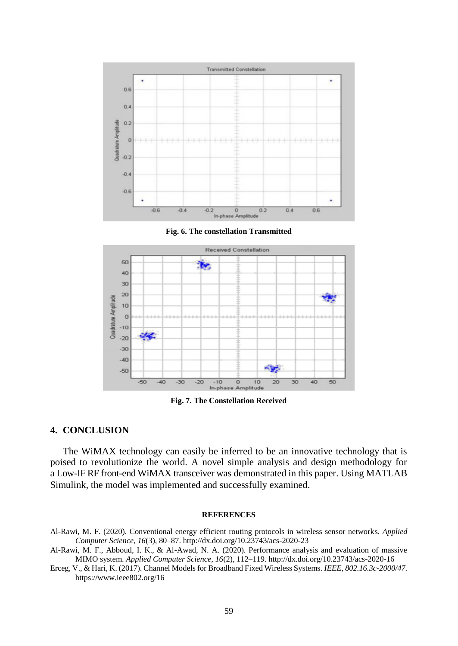

**Fig. 6. The constellation Transmitted**



**Fig. 7. The Constellation Received**

### **4. CONCLUSION**

The WiMAX technology can easily be inferred to be an innovative technology that is poised to revolutionize the world. A novel simple analysis and design methodology for a Low-IF RF front-end WiMAX transceiver was demonstrated in this paper. Using MATLAB Simulink, the model was implemented and successfully examined.

#### **REFERENCES**

- Al-Rawi, M. F. (2020). Conventional energy efficient routing protocols in wireless sensor networks. *Applied Computer Science, 16*(3), 80–87. http://dx.doi.org/10.23743/acs-2020-23
- Al-Rawi, M. F., Abboud, I. K., & Al-Awad, N. A. (2020). Performance analysis and evaluation of massive MIMO system. *Applied Computer Science, 16*(2), 112–119. http://dx.doi.org/10.23743/acs-2020-16
- Erceg, V., [& Hari,](https://www.researchgate.net/profile/Kvs-Hari) K. (2017). Channel Models for Broadband Fixed Wireless Systems. *IEEE, 802.16.3c-2000/47.* https://www.ieee802.org/16